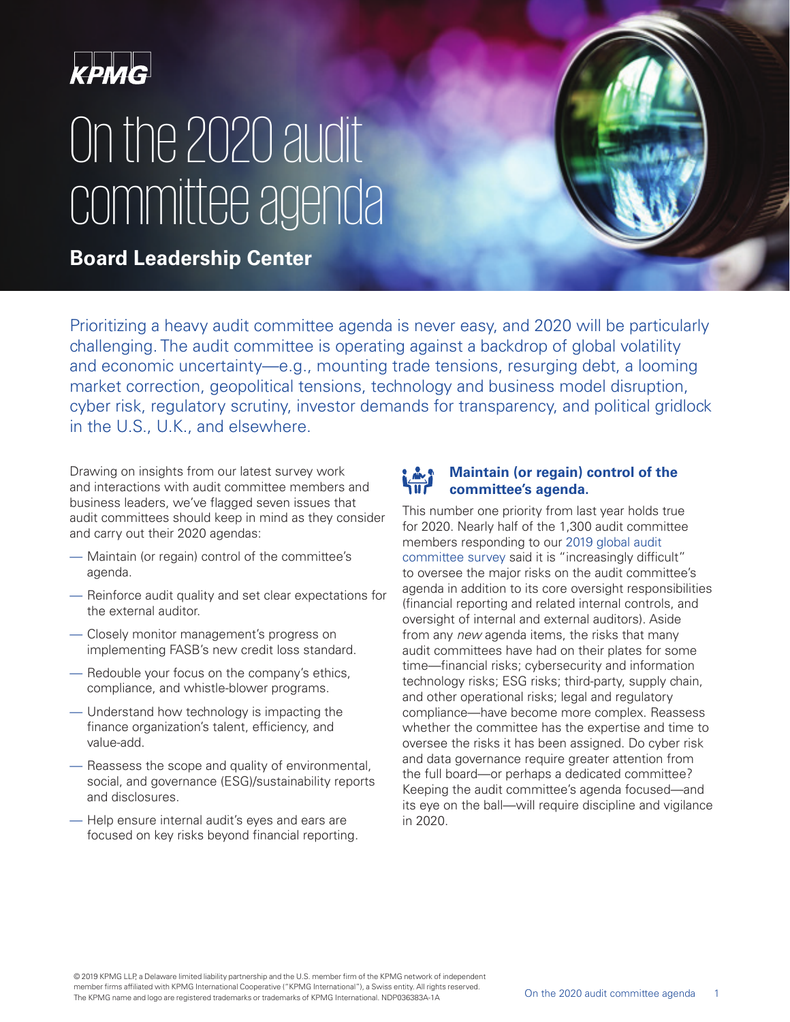

# On the 2020 audit committee agenda

**Board Leadership Center**

Prioritizing a heavy audit committee agenda is never easy, and 2020 will be particularly challenging. The audit committee is operating against a backdrop of global volatility and economic uncertainty—e.g., mounting trade tensions, resurging debt, a looming market correction, geopolitical tensions, technology and business model disruption, cyber risk, regulatory scrutiny, investor demands for transparency, and political gridlock in the U.S., U.K., and elsewhere.

Drawing on insights from our latest survey work and interactions with audit committee members and business leaders, we've flagged seven issues that audit committees should keep in mind as they consider and carry out their 2020 agendas:

- Maintain (or regain) control of the committee's agenda.
- Reinforce audit quality and set clear expectations for the external auditor.
- Closely monitor management's progress on implementing FASB's new credit loss standard.
- Redouble your focus on the company's ethics, compliance, and whistle-blower programs.
- Understand how technology is impacting the finance organization's talent, efficiency, and value-add.
- Reassess the scope and quality of environmental, social, and governance (ESG)/sustainability reports and disclosures.
- Help ensure internal audit's eyes and ears are focused on key risks beyond financial reporting.

### **Maintain (or regain) control of the committee's agenda.**

This number one priority from last year holds true for 2020. Nearly half of the 1,300 audit committee members responding to our 2019 [global audit](https://home.kpmg/content/dam/kpmg/my/pdf/aci-brochure-auditsurvey2019-eng-lr.pdf)  [committee survey](https://home.kpmg/content/dam/kpmg/my/pdf/aci-brochure-auditsurvey2019-eng-lr.pdf) said it is "increasingly difficult" to oversee the major risks on the audit committee's agenda in addition to its core oversight responsibilities (financial reporting and related internal controls, and oversight of internal and external auditors). Aside from any new agenda items, the risks that many audit committees have had on their plates for some time—financial risks; cybersecurity and information technology risks; ESG risks; third-party, supply chain, and other operational risks; legal and regulatory compliance—have become more complex. Reassess whether the committee has the expertise and time to oversee the risks it has been assigned. Do cyber risk and data governance require greater attention from the full board—or perhaps a dedicated committee? Keeping the audit committee's agenda focused—and its eye on the ball—will require discipline and vigilance in 2020.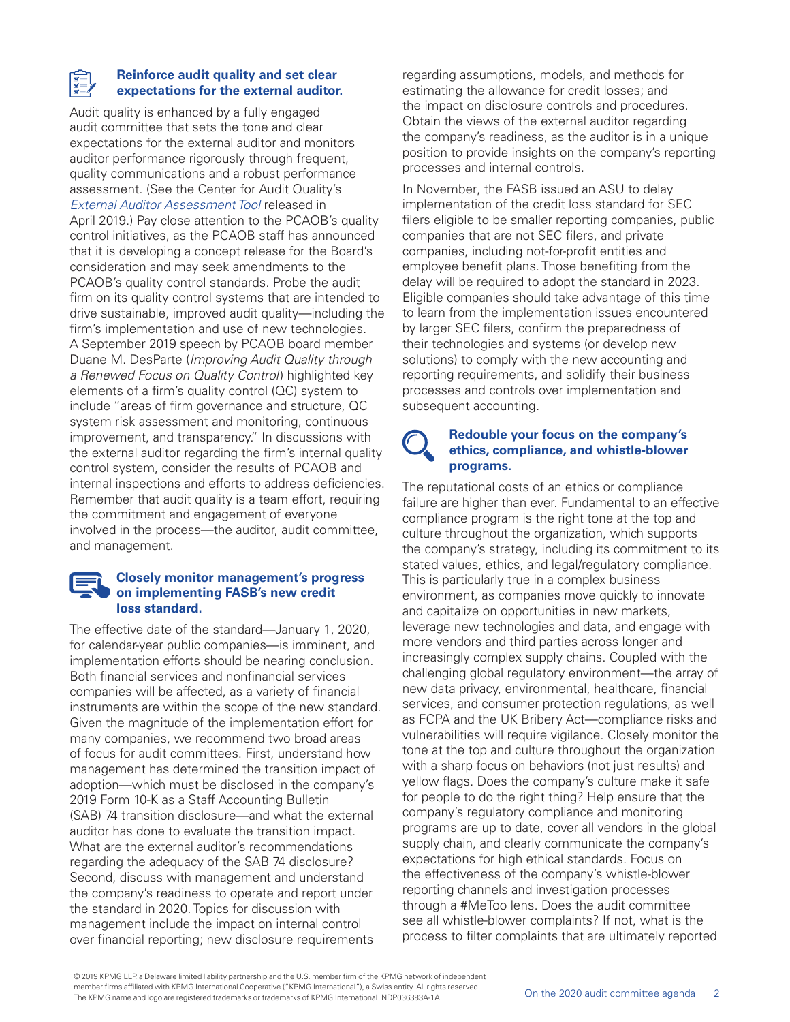#### **Reinforce audit quality and set clear expectations for the external auditor.**

Audit quality is enhanced by a fully engaged audit committee that sets the tone and clear expectations for the external auditor and monitors auditor performance rigorously through frequent, quality communications and a robust performance assessment. (See the Center for Audit Quality's [External Auditor Assessment Tool](https://www.thecaq.org/wp-content/uploads/2019/04/external_auditor_assessment_tool_us_2019-04.pdf) released in April 2019.) Pay close attention to the PCAOB's quality control initiatives, as the PCAOB staff has announced that it is developing a concept release for the Board's consideration and may seek amendments to the PCAOB's quality control standards. Probe the audit firm on its quality control systems that are intended to drive sustainable, improved audit quality—including the firm's implementation and use of new technologies. A September 2019 speech by PCAOB board member Duane M. DesParte (Improving Audit Quality through a Renewed Focus on Quality Control) highlighted key elements of a firm's quality control (QC) system to include "areas of firm governance and structure, QC system risk assessment and monitoring, continuous improvement, and transparency." In discussions with the external auditor regarding the firm's internal quality control system, consider the results of PCAOB and internal inspections and efforts to address deficiencies. Remember that audit quality is a team effort, requiring the commitment and engagement of everyone involved in the process—the auditor, audit committee, and management.

#### **Closely monitor management's progress on implementing FASB's new credit loss standard.**

The effective date of the standard—January 1, 2020, for calendar-year public companies—is imminent, and implementation efforts should be nearing conclusion. Both financial services and nonfinancial services companies will be affected, as a variety of financial instruments are within the scope of the new standard. Given the magnitude of the implementation effort for many companies, we recommend two broad areas of focus for audit committees. First, understand how management has determined the transition impact of adoption—which must be disclosed in the company's 2019 Form 10-K as a Staff Accounting Bulletin (SAB) 74 transition disclosure—and what the external auditor has done to evaluate the transition impact. What are the external auditor's recommendations regarding the adequacy of the SAB 74 disclosure? Second, discuss with management and understand the company's readiness to operate and report under the standard in 2020. Topics for discussion with management include the impact on internal control over financial reporting; new disclosure requirements

regarding assumptions, models, and methods for estimating the allowance for credit losses; and the impact on disclosure controls and procedures. Obtain the views of the external auditor regarding the company's readiness, as the auditor is in a unique position to provide insights on the company's reporting processes and internal controls.

In November, the FASB issued an ASU to delay implementation of the credit loss standard for SEC filers eligible to be smaller reporting companies, public companies that are not SEC filers, and private companies, including not-for-profit entities and employee benefit plans. Those benefiting from the delay will be required to adopt the standard in 2023. Eligible companies should take advantage of this time to learn from the implementation issues encountered by larger SEC filers, confirm the preparedness of their technologies and systems (or develop new solutions) to comply with the new accounting and reporting requirements, and solidify their business processes and controls over implementation and subsequent accounting.

#### **Redouble your focus on the company's ethics, compliance, and whistle-blower programs.**

The reputational costs of an ethics or compliance failure are higher than ever. Fundamental to an effective compliance program is the right tone at the top and culture throughout the organization, which supports the company's strategy, including its commitment to its stated values, ethics, and legal/regulatory compliance. This is particularly true in a complex business environment, as companies move quickly to innovate and capitalize on opportunities in new markets, leverage new technologies and data, and engage with more vendors and third parties across longer and increasingly complex supply chains. Coupled with the challenging global regulatory environment—the array of new data privacy, environmental, healthcare, financial services, and consumer protection regulations, as well as FCPA and the UK Bribery Act—compliance risks and vulnerabilities will require vigilance. Closely monitor the tone at the top and culture throughout the organization with a sharp focus on behaviors (not just results) and yellow flags. Does the company's culture make it safe for people to do the right thing? Help ensure that the company's regulatory compliance and monitoring programs are up to date, cover all vendors in the global supply chain, and clearly communicate the company's expectations for high ethical standards. Focus on the effectiveness of the company's whistle-blower reporting channels and investigation processes through a #MeToo lens. Does the audit committee see all whistle-blower complaints? If not, what is the process to filter complaints that are ultimately reported

<sup>© 2019</sup> KPMG LLP, a Delaware limited liability partnership and the U.S. member firm of the KPMG network of independent member firms affiliated with KPMG International Cooperative ("KPMG International"), a Swiss entity. All rights reserved. The Internation and logo are registered trademarks or trademarks of KPMG International. NDP036383A-1A **On the 2020** audit committee agenda 2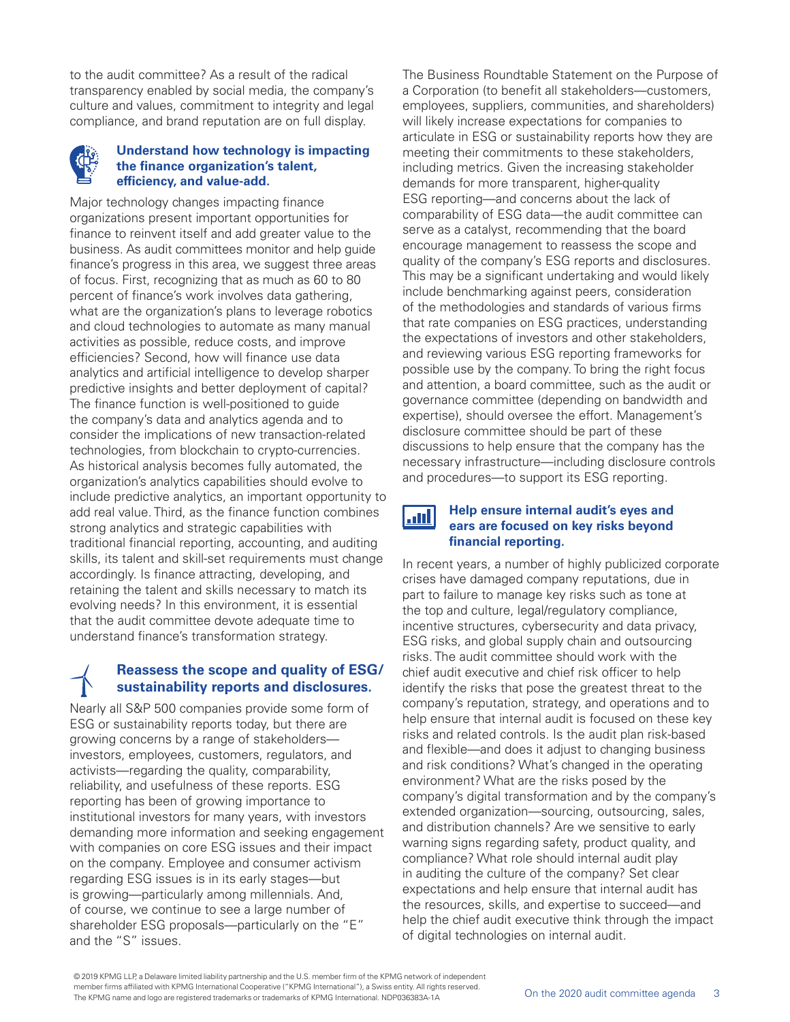to the audit committee? As a result of the radical transparency enabled by social media, the company's culture and values, commitment to integrity and legal compliance, and brand reputation are on full display.

#### **Understand how technology is impacting the finance organization's talent, efficiency, and value-add.**

Major technology changes impacting finance organizations present important opportunities for finance to reinvent itself and add greater value to the business. As audit committees monitor and help guide finance's progress in this area, we suggest three areas of focus. First, recognizing that as much as 60 to 80 percent of finance's work involves data gathering, what are the organization's plans to leverage robotics and cloud technologies to automate as many manual activities as possible, reduce costs, and improve efficiencies? Second, how will finance use data analytics and artificial intelligence to develop sharper predictive insights and better deployment of capital? The finance function is well-positioned to guide the company's data and analytics agenda and to consider the implications of new transaction-related technologies, from blockchain to crypto-currencies. As historical analysis becomes fully automated, the organization's analytics capabilities should evolve to include predictive analytics, an important opportunity to add real value. Third, as the finance function combines strong analytics and strategic capabilities with traditional financial reporting, accounting, and auditing skills, its talent and skill-set requirements must change accordingly. Is finance attracting, developing, and retaining the talent and skills necessary to match its evolving needs? In this environment, it is essential that the audit committee devote adequate time to understand finance's transformation strategy.

## **Reassess the scope and quality of ESG/ sustainability reports and disclosures.**

Nearly all S&P 500 companies provide some form of ESG or sustainability reports today, but there are growing concerns by a range of stakeholders investors, employees, customers, regulators, and activists—regarding the quality, comparability, reliability, and usefulness of these reports. ESG reporting has been of growing importance to institutional investors for many years, with investors demanding more information and seeking engagement with companies on core ESG issues and their impact on the company. Employee and consumer activism regarding ESG issues is in its early stages—but is growing—particularly among millennials. And, of course, we continue to see a large number of shareholder ESG proposals—particularly on the "E" and the "S" issues.

The Business Roundtable Statement on the Purpose of a Corporation (to benefit all stakeholders—customers, employees, suppliers, communities, and shareholders) will likely increase expectations for companies to articulate in ESG or sustainability reports how they are meeting their commitments to these stakeholders, including metrics. Given the increasing stakeholder demands for more transparent, higher-quality ESG reporting—and concerns about the lack of comparability of ESG data—the audit committee can serve as a catalyst, recommending that the board encourage management to reassess the scope and quality of the company's ESG reports and disclosures. This may be a significant undertaking and would likely include benchmarking against peers, consideration of the methodologies and standards of various firms that rate companies on ESG practices, understanding the expectations of investors and other stakeholders, and reviewing various ESG reporting frameworks for possible use by the company. To bring the right focus and attention, a board committee, such as the audit or governance committee (depending on bandwidth and expertise), should oversee the effort. Management's disclosure committee should be part of these discussions to help ensure that the company has the necessary infrastructure—including disclosure controls and procedures—to support its ESG reporting.

الشا

#### **Help ensure internal audit's eyes and ears are focused on key risks beyond financial reporting.**

In recent years, a number of highly publicized corporate crises have damaged company reputations, due in part to failure to manage key risks such as tone at the top and culture, legal/regulatory compliance, incentive structures, cybersecurity and data privacy, ESG risks, and global supply chain and outsourcing risks. The audit committee should work with the chief audit executive and chief risk officer to help identify the risks that pose the greatest threat to the company's reputation, strategy, and operations and to help ensure that internal audit is focused on these key risks and related controls. Is the audit plan risk-based and flexible—and does it adjust to changing business and risk conditions? What's changed in the operating environment? What are the risks posed by the company's digital transformation and by the company's extended organization—sourcing, outsourcing, sales, and distribution channels? Are we sensitive to early warning signs regarding safety, product quality, and compliance? What role should internal audit play in auditing the culture of the company? Set clear expectations and help ensure that internal audit has the resources, skills, and expertise to succeed—and help the chief audit executive think through the impact of digital technologies on internal audit.